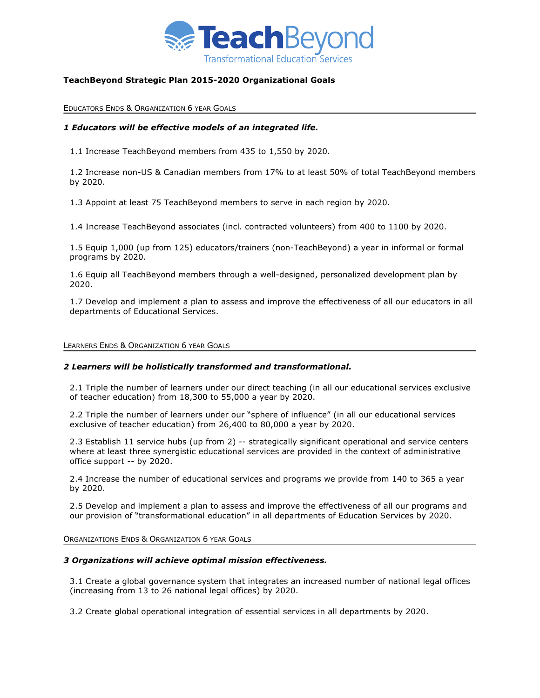

# **TeachBeyond Strategic Plan 2015-2020 Organizational Goals**

EDUCATORS ENDS & ORGANIZATION 6 YEAR GOALS

## *1 Educators will be effective models of an integrated life.*

1.1 Increase TeachBeyond members from 435 to 1,550 by 2020.

1.2 Increase non-US & Canadian members from 17% to at least 50% of total TeachBeyond members by 2020.

1.3 Appoint at least 75 TeachBeyond members to serve in each region by 2020.

1.4 Increase TeachBeyond associates (incl. contracted volunteers) from 400 to 1100 by 2020.

1.5 Equip 1,000 (up from 125) educators/trainers (non-TeachBeyond) a year in informal or formal programs by 2020.

1.6 Equip all TeachBeyond members through a well-designed, personalized development plan by 2020.

1.7 Develop and implement a plan to assess and improve the effectiveness of all our educators in all departments of Educational Services.

#### LEARNERS ENDS & ORGANIZATION 6 YEAR GOALS

### *2 Learners will be holistically transformed and transformational.*

2.1 Triple the number of learners under our direct teaching (in all our educational services exclusive of teacher education) from 18,300 to 55,000 a year by 2020.

2.2 Triple the number of learners under our "sphere of influence" (in all our educational services exclusive of teacher education) from 26,400 to 80,000 a year by 2020.

2.3 Establish 11 service hubs (up from 2) -- strategically significant operational and service centers where at least three synergistic educational services are provided in the context of administrative office support -- by 2020.

2.4 Increase the number of educational services and programs we provide from 140 to 365 a year by 2020.

2.5 Develop and implement a plan to assess and improve the effectiveness of all our programs and our provision of "transformational education" in all departments of Education Services by 2020.

ORGANIZATIONS ENDS & ORGANIZATION 6 YEAR GOALS

### *3 Organizations will achieve optimal mission effectiveness.*

3.1 Create a global governance system that integrates an increased number of national legal offices (increasing from 13 to 26 national legal offices) by 2020.

3.2 Create global operational integration of essential services in all departments by 2020.